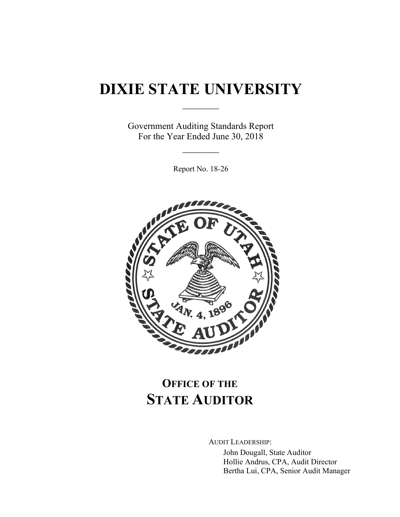# **DIXIE STATE UNIVERSITY**

 $\frac{1}{2}$ 

Government Auditing Standards Report For the Year Ended June 30, 2018

 $\frac{1}{2}$ 

Report No. 18-26



## **OFFICE OF THE STATE AUDITOR**

AUDIT LEADERSHIP:

John Dougall, State Auditor Hollie Andrus, CPA, Audit Director Bertha Lui, CPA, Senior Audit Manager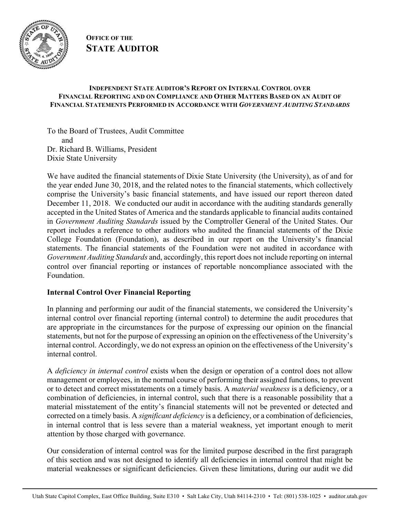

**OFFICE OF THE STATE AUDITOR**

#### **INDEPENDENT STATE AUDITOR'S REPORT ON INTERNAL CONTROL OVER FINANCIAL REPORTING AND ON COMPLIANCE AND OTHER MATTERS BASED ON AN AUDIT OF FINANCIAL STATEMENTS PERFORMED IN ACCORDANCE WITH** *GOVERNMENT AUDITING STANDARDS*

To the Board of Trustees, Audit Committee and Dr. Richard B. Williams, President Dixie State University

We have audited the financial statements of Dixie State University (the University), as of and for the year ended June 30, 2018, and the related notes to the financial statements, which collectively comprise the University's basic financial statements, and have issued our report thereon dated December 11, 2018. We conducted our audit in accordance with the auditing standards generally accepted in the United States of America and the standards applicable to financial audits contained in *Government Auditing Standards* issued by the Comptroller General of the United States. Our report includes a reference to other auditors who audited the financial statements of the Dixie College Foundation (Foundation), as described in our report on the University's financial statements. The financial statements of the Foundation were not audited in accordance with *Government Auditing Standards* and, accordingly, this report does not include reporting on internal control over financial reporting or instances of reportable noncompliance associated with the Foundation.

### **Internal Control Over Financial Reporting**

In planning and performing our audit of the financial statements, we considered the University's internal control over financial reporting (internal control) to determine the audit procedures that are appropriate in the circumstances for the purpose of expressing our opinion on the financial statements, but not for the purpose of expressing an opinion on the effectiveness of the University's internal control. Accordingly, we do not express an opinion on the effectiveness of the University's internal control.

A *deficiency in internal control* exists when the design or operation of a control does not allow management or employees, in the normal course of performing their assigned functions, to prevent or to detect and correct misstatements on a timely basis. A *material weakness* is a deficiency, or a combination of deficiencies, in internal control, such that there is a reasonable possibility that a material misstatement of the entity's financial statements will not be prevented or detected and corrected on a timely basis. A *significant deficiency* is a deficiency, or a combination of deficiencies, in internal control that is less severe than a material weakness, yet important enough to merit attention by those charged with governance.

Our consideration of internal control was for the limited purpose described in the first paragraph of this section and was not designed to identify all deficiencies in internal control that might be material weaknesses or significant deficiencies. Given these limitations, during our audit we did